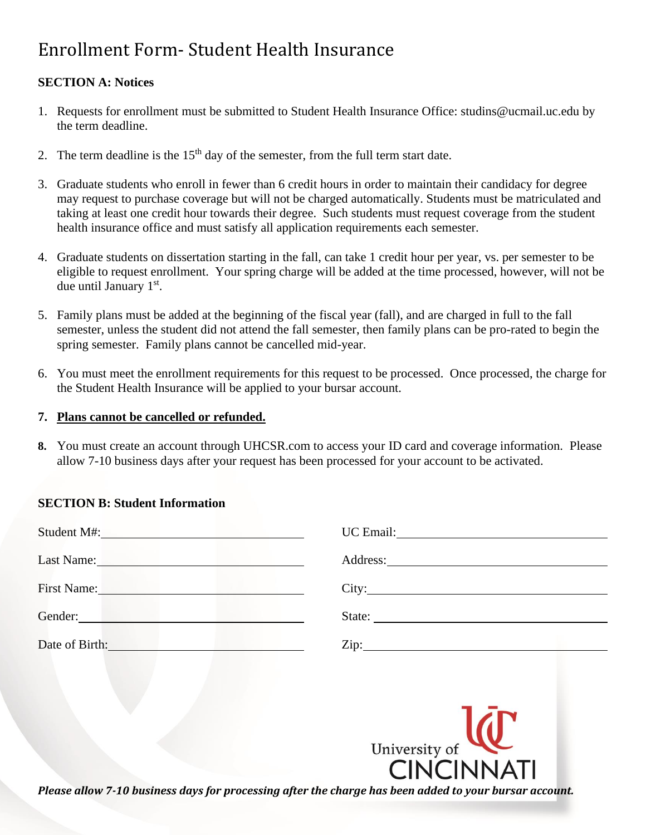# Enrollment Form- Student Health Insurance

# **SECTION A: Notices**

- 1. Requests for enrollment must be submitted to Student Health Insurance Office: studins@ucmail.uc.edu by the term deadline.
- 2. The term deadline is the  $15<sup>th</sup>$  day of the semester, from the full term start date.
- 3. Graduate students who enroll in fewer than 6 credit hours in order to maintain their candidacy for degree may request to purchase coverage but will not be charged automatically. Students must be matriculated and taking at least one credit hour towards their degree. Such students must request coverage from the student health insurance office and must satisfy all application requirements each semester.
- 4. Graduate students on dissertation starting in the fall, can take 1 credit hour per year, vs. per semester to be eligible to request enrollment. Your spring charge will be added at the time processed, however, will not be due until January 1<sup>st</sup>.
- 5. Family plans must be added at the beginning of the fiscal year (fall), and are charged in full to the fall semester, unless the student did not attend the fall semester, then family plans can be pro-rated to begin the spring semester. Family plans cannot be cancelled mid-year.
- 6. You must meet the enrollment requirements for this request to be processed. Once processed, the charge for the Student Health Insurance will be applied to your bursar account.

### **7. Plans cannot be cancelled or refunded.**

**8.** You must create an account through UHCSR.com to access your ID card and coverage information. Please allow 7-10 business days after your request has been processed for your account to be activated.

## **SECTION B: Student Information**

| Student M#:                                                                                                                                                                                                                    |        |
|--------------------------------------------------------------------------------------------------------------------------------------------------------------------------------------------------------------------------------|--------|
| Last Name: 1000 million and 1000 million and 1000 million and 1000 million and 1000 million and 1000 million and 1000 million and 1000 million and 1000 million and 1000 million and 1000 million and 1000 million and 1000 mi |        |
| First Name: Name and Second Second Second Second Second Second Second Second Second Second Second Second Second Second Second Second Second Second Second Second Second Second Second Second Second Second Second Second Secon | City:  |
| Gender:                                                                                                                                                                                                                        | State: |
| Date of Birth: No. 1996. The Contract of Birth:                                                                                                                                                                                |        |